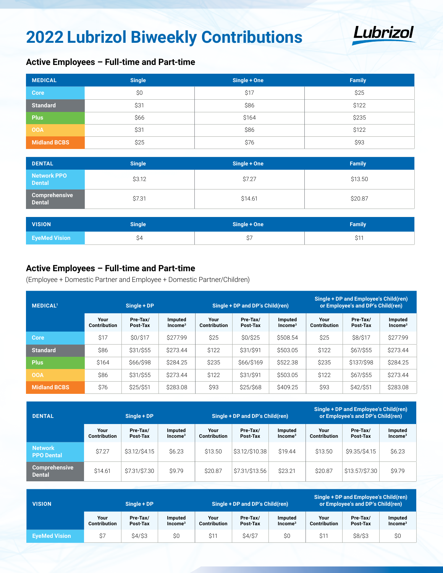# **2022 Lubrizol Biweekly Contributions**



## **Active Employees – Full-time and Part-time**

| <b>MEDICAL</b>      | <b>Single</b> | Single + One | <b>Family</b> |
|---------------------|---------------|--------------|---------------|
| <b>Core</b>         | \$0           | \$17         | \$25          |
| <b>Standard</b>     | \$31          | \$86         | \$122         |
| <b>Plus</b>         | \$66          | \$164        | \$235         |
| <b>OOA</b>          | \$31          | \$86         | \$122         |
| <b>Midland BCBS</b> | \$25          | \$76         | \$93          |

| <b>DENTAL</b>                  | <b>Single</b> | Single + One | <b>Family</b> |
|--------------------------------|---------------|--------------|---------------|
| Network PPO<br><b>Dental</b>   | \$3.12        | \$7.27       | \$13.50       |
| Comprehensive<br><b>Dental</b> | \$7.31        | \$14.61      | \$20.87       |

| <b>VISION</b>        | <b>Single</b> | Single + One | <b>Family</b> |  |  |
|----------------------|---------------|--------------|---------------|--|--|
| <b>EyeMed Vision</b> |               |              | $A -$<br>ا ت  |  |  |

#### **Active Employees – Full-time and Part-time**

(Employee + Domestic Partner and Employee + Domestic Partner/Children)

| <b>MEDICAL1</b>     | Single + DP          |                      |                                |                      | Single + DP and DP's Child(ren) |                                | Single + DP and Employee's Child(ren)<br>or Employee's and DP's Child(ren) |                      |                      |
|---------------------|----------------------|----------------------|--------------------------------|----------------------|---------------------------------|--------------------------------|----------------------------------------------------------------------------|----------------------|----------------------|
|                     | Your<br>Contribution | Pre-Tax/<br>Post-Tax | Imputed<br>Income <sup>3</sup> | Your<br>Contribution | Pre-Tax/<br>Post-Tax            | Imputed<br>Income <sup>3</sup> | Your<br><b>Contribution</b>                                                | Pre-Tax/<br>Post-Tax | Imputed<br>$Income3$ |
| Core                | \$17                 | \$0/\$17             | \$277.99                       | \$25                 | \$0/\$25                        | \$508.54                       | \$25                                                                       | \$8/\$17             | \$277.99             |
| <b>Standard</b>     | \$86                 | \$31/\$55            | \$273.44                       | \$122                | \$31/\$91                       | \$503.05                       | \$122                                                                      | \$67/\$55            | \$273.44             |
| <b>Plus</b>         | \$164                | \$66/\$98            | \$284.25                       | \$235                | \$66/\$169                      | \$522.38                       | \$235                                                                      | \$137/\$98           | \$284.25             |
| <b>OOA</b>          | \$86                 | \$31/\$55            | \$273.44                       | \$122                | \$31/\$91                       | \$503.05                       | \$122                                                                      | \$67/\$55            | \$273.44             |
| <b>Midland BCBS</b> | \$76                 | \$25/\$51            | \$283.08                       | \$93                 | \$25/\$68                       | \$409.25                       | \$93                                                                       | \$42/\$51            | \$283.08             |

| <b>DENTAL</b>                         | Single + DP          |                      |                      |                      | Single + DP and DP's Child(ren) |                      | Single + DP and Employee's Child(ren)<br>or Employee's and DP's Child(ren) |                      |                      |
|---------------------------------------|----------------------|----------------------|----------------------|----------------------|---------------------------------|----------------------|----------------------------------------------------------------------------|----------------------|----------------------|
|                                       | Your<br>Contribution | Pre-Tax/<br>Post-Tax | Imputed<br>$Income3$ | Your<br>Contribution | Pre-Tax/<br>Post-Tax            | Imputed<br>$Income3$ | Your<br>Contribution                                                       | Pre-Tax/<br>Post-Tax | Imputed<br>$Income3$ |
| <b>Network</b><br><b>PPO Dental</b>   | \$7.27               | \$3.12/\$4.15        | \$6.23               | \$13.50              | \$3.12/\$10.38                  | \$19.44              | \$13.50                                                                    | \$9.35/\$4.15        | \$6.23               |
| <b>Comprehensive</b><br><b>Dental</b> | \$14.61              | \$7.31/\$7.30        | \$9.79               | \$20.87              | \$7.31/\$13.56                  | \$23.21              | \$20.87                                                                    | \$13,57/\$7,30       | \$9.79               |

| <b>VISION</b>        | Single + DP                 |                      |                             | Single + DP and DP's Child(ren) |                      |                      | Single + DP and Employee's Child(ren)<br>or Employee's and DP's Child(ren) |                      |                      |
|----------------------|-----------------------------|----------------------|-----------------------------|---------------------------------|----------------------|----------------------|----------------------------------------------------------------------------|----------------------|----------------------|
|                      | Your<br><b>Contribution</b> | Pre-Tax/<br>Post-Tax | <b>Imputed</b><br>$Income3$ | Your<br><b>Contribution</b>     | Pre-Tax/<br>Post-Tax | Imputed<br>$Income3$ | Your<br><b>Contribution</b>                                                | Pre-Tax/<br>Post-Tax | Imputed<br>$Income3$ |
| <b>EveMed Vision</b> | \$7                         | $$4/$ \$3            | \$0                         | \$11                            | <b>\$4/\$7</b>       | \$0                  | \$11                                                                       | \$8/\$3              | \$0                  |